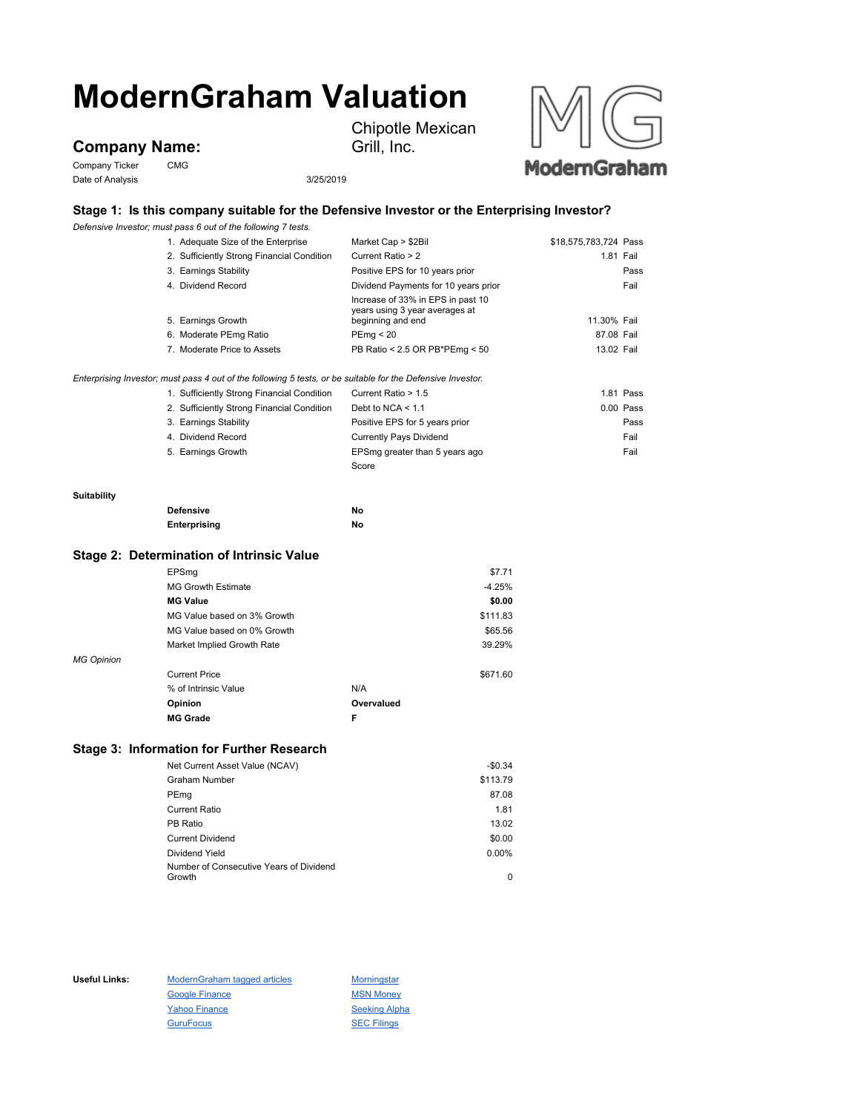# **ModernGraham Valuation**

## **Company Name:**

Company Ticker CMG Date of Analysis 3/25/2019

Chipotle Mexican Grill, Inc.



## **Stage 1: Is this company suitable for the Defensive Investor or the Enterprising Investor?**

*Defensive Investor; must pass 6 out of the following 7 tests.*

|                    | 1. Adequate Size of the Enterprise                                                                          | Market Cap > \$2Bil                                                                      | \$18,575,783,724 Pass |             |
|--------------------|-------------------------------------------------------------------------------------------------------------|------------------------------------------------------------------------------------------|-----------------------|-------------|
|                    | 2. Sufficiently Strong Financial Condition                                                                  | Current Ratio > 2                                                                        |                       | 1.81 Fail   |
|                    | 3. Earnings Stability                                                                                       | Positive EPS for 10 years prior                                                          |                       | Pass        |
|                    | 4. Dividend Record                                                                                          | Dividend Payments for 10 years prior                                                     |                       | Fail        |
|                    | 5. Earnings Growth                                                                                          | Increase of 33% in EPS in past 10<br>years using 3 year averages at<br>beginning and end | 11.30% Fail           |             |
|                    | 6. Moderate PEmg Ratio                                                                                      | PEmq < 20                                                                                | 87.08 Fail            |             |
|                    | 7. Moderate Price to Assets                                                                                 | PB Ratio < 2.5 OR PB*PEmg < 50                                                           | 13.02 Fail            |             |
|                    | Enterprising Investor; must pass 4 out of the following 5 tests, or be suitable for the Defensive Investor. |                                                                                          |                       |             |
|                    | 1. Sufficiently Strong Financial Condition                                                                  | Current Ratio > 1.5                                                                      |                       | 1.81 Pass   |
|                    | 2. Sufficiently Strong Financial Condition                                                                  | Debt to NCA $<$ 1.1                                                                      |                       | $0.00$ Pass |
|                    | 3. Earnings Stability                                                                                       | Positive EPS for 5 years prior                                                           |                       | Pass        |
|                    | 4. Dividend Record                                                                                          | <b>Currently Pays Dividend</b>                                                           |                       | Fail        |
|                    | 5. Earnings Growth                                                                                          | EPSmg greater than 5 years ago                                                           |                       | Fail        |
|                    |                                                                                                             | Score                                                                                    |                       |             |
|                    |                                                                                                             |                                                                                          |                       |             |
| <b>Suitability</b> |                                                                                                             |                                                                                          |                       |             |

## **Suitability**

**Defensive No Enterprising No**

#### **Stage 2: Determination of Intrinsic Value**

|                   | EPSmg                       |            | \$7.71   |
|-------------------|-----------------------------|------------|----------|
|                   | <b>MG Growth Estimate</b>   |            | $-4.25%$ |
|                   | <b>MG Value</b>             |            | \$0.00   |
|                   | MG Value based on 3% Growth |            | \$111.83 |
|                   | MG Value based on 0% Growth |            | \$65.56  |
|                   | Market Implied Growth Rate  |            | 39.29%   |
| <b>MG Opinion</b> |                             |            |          |
|                   | <b>Current Price</b>        |            | \$671.60 |
|                   | % of Intrinsic Value        | N/A        |          |
|                   | Opinion                     | Overvalued |          |
|                   | <b>MG Grade</b>             | F          |          |

### **Stage 3: Information for Further Research**

| Net Current Asset Value (NCAV)                    | $-$0.34$ |
|---------------------------------------------------|----------|
| <b>Graham Number</b>                              | \$113.79 |
| PEmg                                              | 87.08    |
| Current Ratio                                     | 1.81     |
| PB Ratio                                          | 13.02    |
| <b>Current Dividend</b>                           | \$0.00   |
| Dividend Yield                                    | 0.00%    |
| Number of Consecutive Years of Dividend<br>Growth | 0        |
|                                                   |          |

Useful Links: ModernGraham tagged articles Morningstar Google Finance MSN Money Yahoo Finance Seeking Alpha GuruFocus **SEC Filings**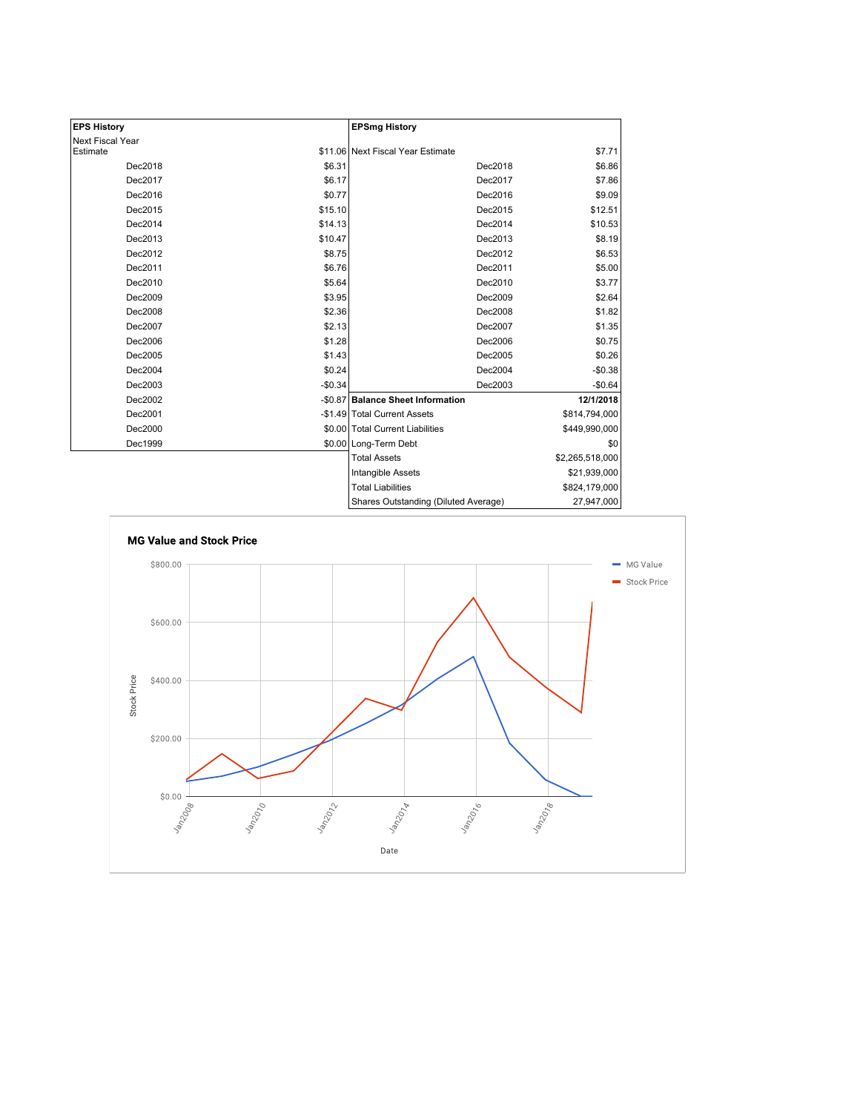| <b>EPS History</b> |          | <b>EPSmg History</b>                 |                 |
|--------------------|----------|--------------------------------------|-----------------|
| Next Fiscal Year   |          |                                      |                 |
| Estimate           |          | \$11.06 Next Fiscal Year Estimate    | \$7.71          |
| Dec2018            | \$6.31   | Dec2018                              | \$6.86          |
| Dec2017            | \$6.17   | Dec2017                              | \$7.86          |
| Dec2016            | \$0.77   | Dec2016                              | \$9.09          |
| Dec2015            | \$15.10  | Dec2015                              | \$12.51         |
| Dec2014            | \$14.13  | Dec2014                              | \$10.53         |
| Dec2013            | \$10.47  | Dec2013                              | \$8.19          |
| Dec2012            | \$8.75   | Dec2012                              | \$6.53          |
| Dec2011            | \$6.76   | Dec2011                              | \$5.00          |
| Dec2010            | \$5.64   | Dec2010                              | \$3.77          |
| Dec2009            | \$3.95   | Dec2009                              | \$2.64          |
| Dec2008            | \$2.36   | Dec2008                              | \$1.82          |
| Dec2007            | \$2.13   | Dec2007                              | \$1.35          |
| Dec2006            | \$1.28   | Dec2006                              | \$0.75          |
| Dec2005            | \$1.43   | Dec2005                              | \$0.26          |
| Dec2004            | \$0.24   | Dec2004                              | $-$0.38$        |
| Dec2003            | $-$0.34$ | Dec2003                              | $-$0.64$        |
| Dec2002            |          | -\$0.87 Balance Sheet Information    | 12/1/2018       |
| Dec2001            |          | -\$1.49 Total Current Assets         | \$814,794,000   |
| Dec2000            |          | \$0.00 Total Current Liabilities     | \$449,990,000   |
| Dec1999            |          | \$0.00 Long-Term Debt                | \$0             |
|                    |          | <b>Total Assets</b>                  | \$2,265,518,000 |
|                    |          | Intangible Assets                    | \$21,939,000    |
|                    |          | <b>Total Liabilities</b>             | \$824,179,000   |
|                    |          | Shares Outstanding (Diluted Average) | 27,947,000      |